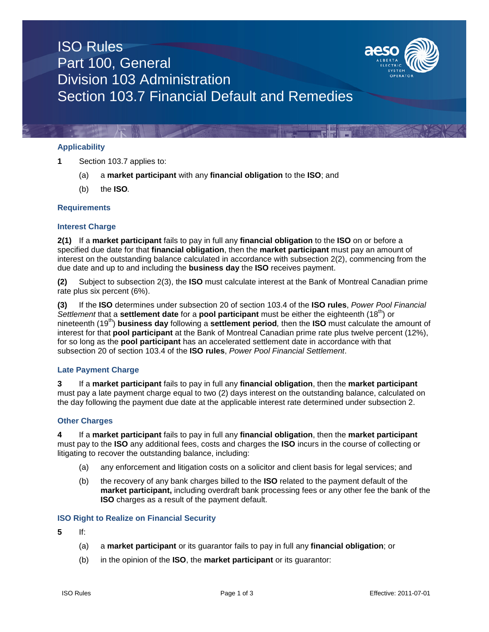# ISO Rules Part 100, General Division 103 Administration Section 103.7 Financial Default and Remedies



### **Applicability**

**1** Section 103.7 applies to:

- (a) a **market participant** with any **financial obligation** to the **ISO**; and
- (b) the **ISO***.*

## **Requirements**

## **Interest Charge**

**2(1)** If a **market participant** fails to pay in full any **financial obligation** to the **ISO** on or before a specified due date for that **financial obligation**, then the **market participant** must pay an amount of interest on the outstanding balance calculated in accordance with subsection 2(2), commencing from the due date and up to and including the **business day** the **ISO** receives payment.

**(2)** Subject to subsection 2(3), the **ISO** must calculate interest at the Bank of Montreal Canadian prime rate plus six percent (6%).

**(3)** If the **ISO** determines under subsection 20 of section 103.4 of the **ISO rules**, *Power Pool Financial Settlement* that a **settlement date** for a **pool participant** must be either the eighteenth (18<sup>th</sup>) or nineteenth (19th) **business day** following a **settlement period***,* then the **ISO** must calculate the amount of interest for that **pool participant** at the Bank of Montreal Canadian prime rate plus twelve percent (12%), for so long as the **pool participant** has an accelerated settlement date in accordance with that subsection 20 of section 103.4 of the **ISO rules**, *Power Pool Financial Settlement*.

#### **Late Payment Charge**

**3** If a **market participant** fails to pay in full any **financial obligation**, then the **market participant** must pay a late payment charge equal to two (2) days interest on the outstanding balance, calculated on the day following the payment due date at the applicable interest rate determined under subsection 2.

#### **Other Charges**

**4** If a **market participant** fails to pay in full any **financial obligation**, then the **market participant** must pay to the **ISO** any additional fees, costs and charges the **ISO** incurs in the course of collecting or litigating to recover the outstanding balance, including:

- (a) any enforcement and litigation costs on a solicitor and client basis for legal services; and
- (b) the recovery of any bank charges billed to the **ISO** related to the payment default of the **market participant,** including overdraft bank processing fees or any other fee the bank of the **ISO** charges as a result of the payment default.

#### **ISO Right to Realize on Financial Security**

- **5** If:
	- (a) a **market participant** or its guarantor fails to pay in full any **financial obligation**; or
	- (b) in the opinion of the **ISO**, the **market participant** or its guarantor: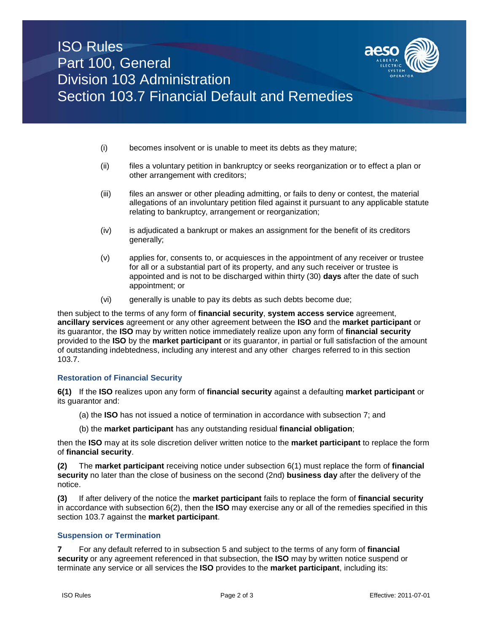

- (i) becomes insolvent or is unable to meet its debts as they mature;
- (ii) files a voluntary petition in bankruptcy or seeks reorganization or to effect a plan or other arrangement with creditors;
- (iii) files an answer or other pleading admitting, or fails to deny or contest, the material allegations of an involuntary petition filed against it pursuant to any applicable statute relating to bankruptcy, arrangement or reorganization;
- (iv) is adjudicated a bankrupt or makes an assignment for the benefit of its creditors generally;
- (v) applies for, consents to, or acquiesces in the appointment of any receiver or trustee for all or a substantial part of its property, and any such receiver or trustee is appointed and is not to be discharged within thirty (30) **days** after the date of such appointment; or
- (vi) generally is unable to pay its debts as such debts become due;

then subject to the terms of any form of **financial security**, **system access service** agreement, **ancillary services** agreement or any other agreement between the **ISO** and the **market participant** or its guarantor, the **ISO** may by written notice immediately realize upon any form of **financial security**  provided to the **ISO** by the **market participant** or its guarantor, in partial or full satisfaction of the amount of outstanding indebtedness, including any interest and any other charges referred to in this section 103.7.

#### **Restoration of Financial Security**

**6(1)** If the **ISO** realizes upon any form of **financial security** against a defaulting **market participant** or its guarantor and:

- (a) the **ISO** has not issued a notice of termination in accordance with subsection 7; and
- (b) the **market participant** has any outstanding residual **financial obligation**;

then the **ISO** may at its sole discretion deliver written notice to the **market participant** to replace the form of **financial security**.

**(2)** The **market participant** receiving notice under subsection 6(1) must replace the form of **financial security** no later than the close of business on the second (2nd) **business day** after the delivery of the notice.

**(3)** If after delivery of the notice the **market participant** fails to replace the form of **financial security** in accordance with subsection 6(2), then the **ISO** may exercise any or all of the remedies specified in this section 103.7 against the **market participant**.

#### **Suspension or Termination**

**7** For any default referred to in subsection 5 and subject to the terms of any form of **financial security** or any agreement referenced in that subsection, the **ISO** may by written notice suspend or terminate any service or all services the **ISO** provides to the **market participant**, including its: